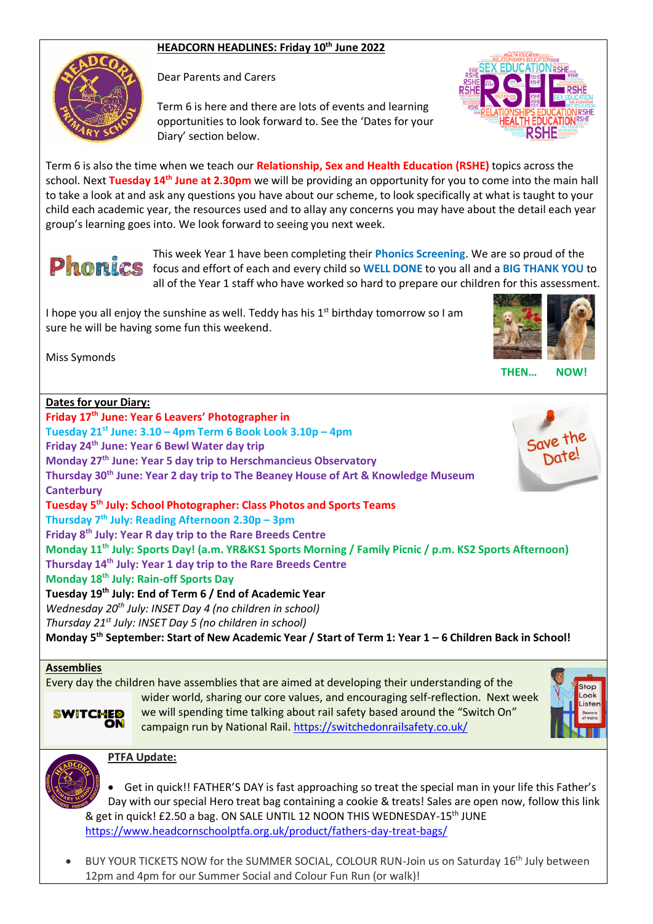## **HEADCORN HEADLINES: Friday 10th June 2022**



Dear Parents and Carers

Term 6 is here and there are lots of events and learning opportunities to look forward to. See the 'Dates for your Diary' section below.



Term 6 is also the time when we teach our **Relationship, Sex and Health Education (RSHE)** topics across the school. Next **Tuesday 14th June at 2.30pm** we will be providing an opportunity for you to come into the main hall to take a look at and ask any questions you have about our scheme, to look specifically at what is taught to your child each academic year, the resources used and to allay any concerns you may have about the detail each year group's learning goes into. We look forward to seeing you next week.



This week Year 1 have been completing their **Phonics Screening**. We are so proud of the **phonics** focus and effort of each and every child so WELL DONE to you all and a BIG THANK YOU to all of the Year 1 staff who have worked so hard to prepare our children for this assessment.

I hope you all enjoy the sunshine as well. Teddy has his  $1<sup>st</sup>$  birthday tomorrow so I am sure he will be having some fun this weekend.



Miss Symonds

| <b>Dates for your Diary:</b>                                                                                        |
|---------------------------------------------------------------------------------------------------------------------|
| Friday 17 <sup>th</sup> June: Year 6 Leavers' Photographer in                                                       |
| Tuesday 21 <sup>st</sup> June: 3.10 - 4pm Term 6 Book Look 3.10p - 4pm                                              |
| Friday 24 <sup>th</sup> June: Year 6 Bewl Water day trip                                                            |
| Monday 27 <sup>th</sup> June: Year 5 day trip to Herschmancieus Observatory                                         |
| Thursday 30 <sup>th</sup> June: Year 2 day trip to The Beaney House of Art & Knowledge Museum                       |
| <b>Canterbury</b>                                                                                                   |
| Tuesday 5 <sup>th</sup> July: School Photographer: Class Photos and Sports Teams                                    |
| Thursday 7 <sup>th</sup> July: Reading Afternoon 2.30p - 3pm                                                        |
| Friday 8 <sup>th</sup> July: Year R day trip to the Rare Breeds Centre                                              |
| Monday 11 <sup>th</sup> July: Sports Day! (a.m. YR&KS1 Sports Morning / Family Picnic / p.m. KS2 Sports Afternoon)  |
| Thursday 14th July: Year 1 day trip to the Rare Breeds Centre                                                       |
| Monday 18 <sup>th</sup> July: Rain-off Sports Day                                                                   |
| Tuesday 19 <sup>th</sup> July: End of Term 6 / End of Academic Year                                                 |
| Wednesday 20 <sup>th</sup> July: INSET Day 4 (no children in school)                                                |
| Thursday 21 <sup>st</sup> July: INSET Day 5 (no children in school)                                                 |
| Monday 5 <sup>th</sup> September: Start of New Academic Year / Start of Term 1: Year 1 - 6 Children Back in School! |
|                                                                                                                     |
| <b>Assemblies</b>                                                                                                   |

**THEN… NOW!**

Every day the children have assemblies that are aimed at developing their understanding of the wider world, sharing our core values, and encouraging self-reflection. Next week we will spending time talking about rail safety based around the "Switch On" campaign run by National Rail.<https://switchedonrailsafety.co.uk/>



## **PTFA Update:**

• Get in quick!! FATHER'S DAY is fast approaching so treat the special man in your life this Father's Day with our special Hero treat bag containing a cookie & treats! Sales are open now, follow this link & get in quick! £2.50 a bag. ON SALE UNTIL 12 NOON THIS WEDNESDAY-15<sup>th</sup> JUNE <https://www.headcornschoolptfa.org.uk/product/fathers-day-treat-bags/>

BUY YOUR TICKETS NOW for the SUMMER SOCIAL, COLOUR RUN-Join us on Saturday 16<sup>th</sup> July between 12pm and 4pm for our Summer Social and Colour Fun Run (or walk)!